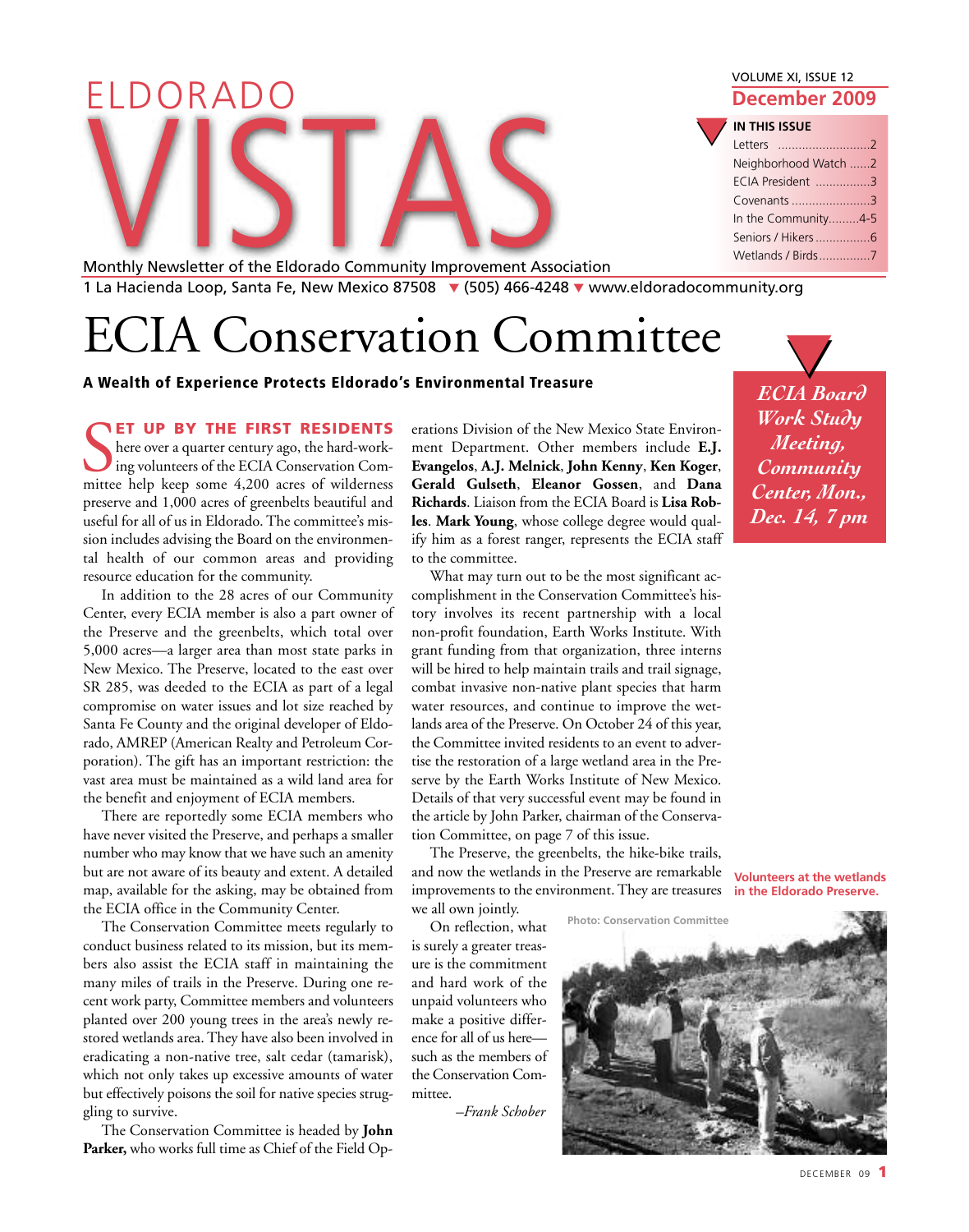| ELDORADO |                                                                      |                                                                                                               | VOLUME XI, ISSUE 12<br><b>December 2009</b> |
|----------|----------------------------------------------------------------------|---------------------------------------------------------------------------------------------------------------|---------------------------------------------|
|          |                                                                      |                                                                                                               | <b>IN THIS ISSUE</b>                        |
|          |                                                                      |                                                                                                               | Neighborhood Watch 2                        |
|          |                                                                      |                                                                                                               | ECIA President 3<br>Covenants 3             |
|          |                                                                      |                                                                                                               | In the Community4-5                         |
|          | Monthly Newsletter of the Eldorado Community Improvement Association |                                                                                                               | Wetlands / Birds7                           |
|          |                                                                      | $11$ a Hacianda Loon, Santa Ee, New Mexico 87508 $\bullet$ (505) 466-4248 $\bullet$ www.eldoradocommunity.org |                                             |

1 La Hacienda Loop, Santa Fe, New Mexico 87508 ▼ (505) 466-4248 ▼ www.eldoradocommunity.org

# **ECIA Conservation Committee**

#### **A Wealth of Experience Protects Eldorado's Environmental Treasure**

**SET UP BY THE FIRST RESIDENTS**<br>here over a quarter century ago, the hard-work-<br>ing volunteers of the ECIA Conservation Com-<br>mittee help keep some 4,200 acres of wilderness **ET UP BY THE FIRST RESIDENTS** here over a quarter century ago, the hard-working volunteers of the ECIA Conservation Compreserve and 1,000 acres of greenbelts beautiful and useful for all of us in Eldorado. The committee's mission includes advising the Board on the environmental health of our common areas and providing resource education for the community.

In addition to the 28 acres of our Community Center, every ECIA member is also a part owner of the Preserve and the greenbelts, which total over 5,000 acres—a larger area than most state parks in New Mexico. The Preserve, located to the east over SR 285, was deeded to the ECIA as part of a legal compromise on water issues and lot size reached by Santa Fe County and the original developer of Eldorado, AMREP (American Realty and Petroleum Corporation). The gift has an important restriction: the vast area must be maintained as a wild land area for the benefit and enjoyment of ECIA members.

There are reportedly some ECIA members who have never visited the Preserve, and perhaps a smaller number who may know that we have such an amenity but are not aware of its beauty and extent. A detailed map, available for the asking, may be obtained from the ECIA office in the Community Center.

The Conservation Committee meets regularly to conduct business related to its mission, but its members also assist the ECIA staff in maintaining the many miles of trails in the Preserve. During one recent work party, Committee members and volunteers planted over 200 young trees in the area's newly restored wetlands area. They have also been involved in eradicating a non-native tree, salt cedar (tamarisk), which not only takes up excessive amounts of water but effectively poisons the soil for native species struggling to survive.

The Conservation Committee is headed by **John Parker,** who works full time as Chief of the Field Operations Division of the New Mexico State Environment Department. Other members include **E.J. Evangelos**, **A.J. Melnick**, **John Kenny**, **Ken Koger**, **Gerald Gulseth**, **Eleanor Gossen**, and **Dana Richards**. Liaison from the ECIA Board is **Lisa Robles**. **Mark Young**, whose college degree would qualify him as a forest ranger, represents the ECIA staff to the committee.

What may turn out to be the most significant accomplishment in the Conservation Committee's history involves its recent partnership with a local non-profit foundation, Earth Works Institute. With grant funding from that organization, three interns will be hired to help maintain trails and trail signage, combat invasive non-native plant species that harm water resources, and continue to improve the wetlands area of the Preserve. On October 24 of this year, the Committee invited residents to an event to advertise the restoration of a large wetland area in the Preserve by the Earth Works Institute of New Mexico. Details of that very successful event may be found in the article by John Parker, chairman of the Conservation Committee, on page 7 of this issue.

The Preserve, the greenbelts, the hike-bike trails, and now the wetlands in the Preserve are remarkable **Volunteers at the wetlands** improvements to the environment. They are treasures **in the Eldorado Preserve.**  we all own jointly.

On reflection, what is surely a greater treasure is the commitment and hard work of the unpaid volunteers who make a positive difference for all of us here such as the members of the Conservation Committee.

*–Frank Schober*

| <b>IN THIS ISSUE</b> |  |
|----------------------|--|
| Letters 2            |  |
| Neighborhood Watch 2 |  |
| ECIA President 3     |  |
| Covenants 3          |  |
| In the Community4-5  |  |
|                      |  |
| Wetlands / Birds7    |  |

*ECIA Board Work Study Meeting, Community Center, Mon., Dec. 14, 7 pm* ▼



DECEMBER 09 **1**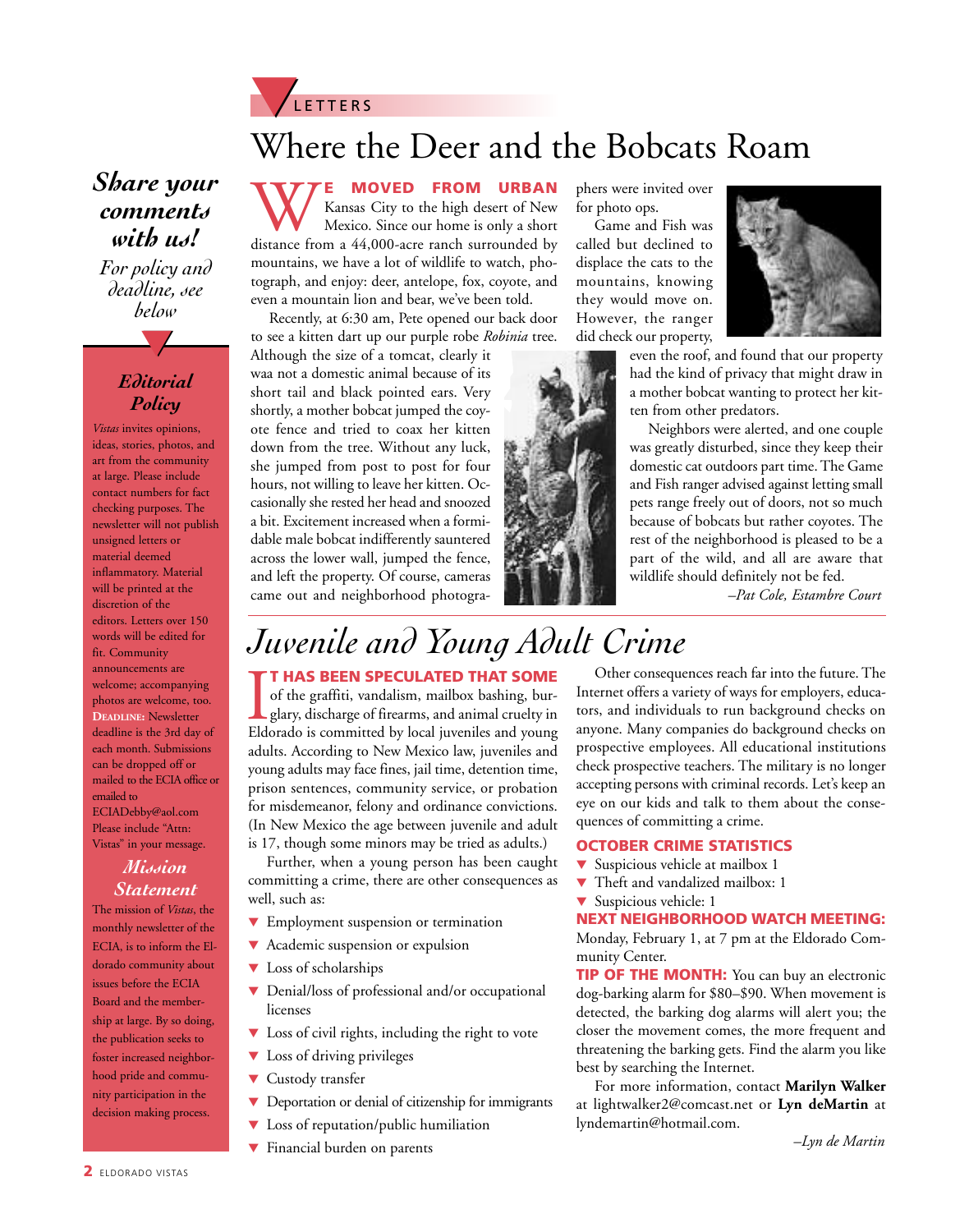

### *Share your comments with us!*

*For policy and deadline, see below*

### *Editorial Policy*

▼

*Vistas* invites opinions, ideas, stories, photos, and art from the community at large. Please include contact numbers for fact checking purposes. The newsletter will not publish unsigned letters or material deemed inflammatory. Material will be printed at the discretion of the editors. Letters over 150 words will be edited for fit. Community announcements are welcome; accompanying photos are welcome, too. **DEADLINE:** Newsletter deadline is the 3rd day of each month. Submissions can be dropped off or mailed to the ECIA office or emailed to ECIADebby@aol.com Please include "Attn: Vistas" in your message.

#### *Mission Statement*

The mission of *Vistas*, the monthly newsletter of the ECIA, is to inform the Eldorado community about issues before the ECIA Board and the membership at large. By so doing, the publication seeks to foster increased neighborhood pride and community participation in the decision making process.

## Where the Deer and the Bobcats Roam

**WE MOVED FROM URBAN**<br>
Kansas City to the high desert of New<br>
distance from a 44,000-acre ranch surrounded by Kansas City to the high desert of New Mexico. Since our home is only a short mountains, we have a lot of wildlife to watch, photograph, and enjoy: deer, antelope, fox, coyote, and even a mountain lion and bear, we've been told.

Recently, at 6:30 am, Pete opened our back door to see a kitten dart up our purple robe *Robinia* tree.

Although the size of a tomcat, clearly it waa not a domestic animal because of its short tail and black pointed ears. Very shortly, a mother bobcat jumped the coyote fence and tried to coax her kitten down from the tree. Without any luck, she jumped from post to post for four hours, not willing to leave her kitten. Occasionally she rested her head and snoozed a bit. Excitement increased when a formidable male bobcat indifferently sauntered across the lower wall, jumped the fence, and left the property. Of course, cameras came out and neighborhood photographers were invited over for photo ops.

Game and Fish was called but declined to displace the cats to the mountains, knowing they would move on. However, the ranger did check our property,



even the roof, and found that our property had the kind of privacy that might draw in a mother bobcat wanting to protect her kitten from other predators.

Neighbors were alerted, and one couple was greatly disturbed, since they keep their domestic cat outdoors part time. The Game and Fish ranger advised against letting small pets range freely out of doors, not so much because of bobcats but rather coyotes. The rest of the neighborhood is pleased to be a part of the wild, and all are aware that wildlife should definitely not be fed.

*–Pat Cole, Estambre Court*

# *Juvenile and Young Adult Crime*

#### **T HAS BEEN SPECULATED THAT SOME**

**T HAS BEEN SPECULATED THAT SOME** of the graffiti, vandalism, mailbox bashing, bur-<br>glary, discharge of firearms, and animal cruelty in<br>Eldorado is committed by local juveniles and young of the graffiti, vandalism, mailbox bashing, burglary, discharge of firearms, and animal cruelty in adults. According to New Mexico law, juveniles and young adults may face fines, jail time, detention time, prison sentences, community service, or probation for misdemeanor, felony and ordinance convictions. (In New Mexico the age between juvenile and adult is 17, though some minors may be tried as adults.)

Further, when a young person has been caught committing a crime, there are other consequences as well, such as:

- ▼ Employment suspension or termination
- ▼ Academic suspension or expulsion
- ▼ Loss of scholarships
- ▼ Denial/loss of professional and/or occupational licenses
- ▼ Loss of civil rights, including the right to vote
- ▼ Loss of driving privileges
- ▼ Custody transfer
- ▼ Deportation or denial of citizenship for immigrants
- ▼ Loss of reputation/public humiliation
- Financial burden on parents

Other consequences reach far into the future. The Internet offers a variety of ways for employers, educators, and individuals to run background checks on anyone. Many companies do background checks on prospective employees. All educational institutions check prospective teachers. The military is no longer accepting persons with criminal records. Let's keep an eye on our kids and talk to them about the consequences of committing a crime.

#### **OCTOBER CRIME STATISTICS**

- ▼ Suspicious vehicle at mailbox 1
- ▼ Theft and vandalized mailbox: 1

#### ▼ Suspicious vehicle: 1

#### **NEXT NEIGHBORHOOD WATCH MEETING:**

Monday, February 1, at 7 pm at the Eldorado Community Center.

**TIP OF THE MONTH:** You can buy an electronic dog-barking alarm for \$80–\$90. When movement is detected, the barking dog alarms will alert you; the closer the movement comes, the more frequent and threatening the barking gets. Find the alarm you like best by searching the Internet.

For more information, contact **Marilyn Walker** at lightwalker2@comcast.net or **Lyn deMartin** at lyndemartin@hotmail.com.

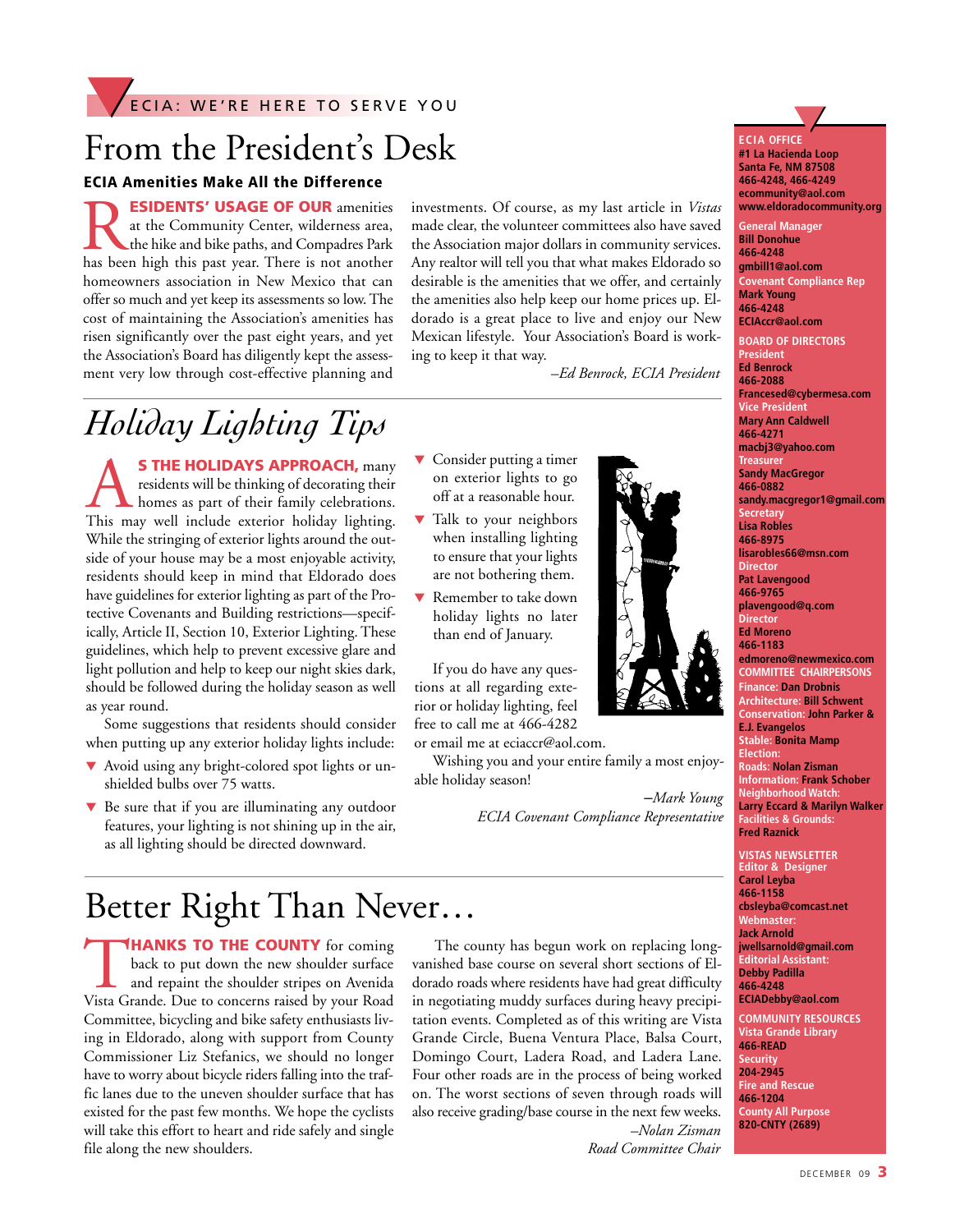## **ECIA: WE'RE HERE TO SERVE YOU**

## From the President's Desk

#### **ECIA Amenities Make All the Difference**

**ESIDENTS' USAGE OF OUR amenities** at the Community Center, wilderness area, the hike and bike paths, and Compadres Park has been high this past year. There is not another homeowners association in New Mexico that can offer so much and yet keep its assessments so low. The cost of maintaining the Association's amenities has risen significantly over the past eight years, and yet the Association's Board has diligently kept the assessment very low through cost-effective planning and

investments. Of course, as my last article in *Vistas* made clear, the volunteer committees also have saved the Association major dollars in community services. Any realtor will tell you that what makes Eldorado so desirable is the amenities that we offer, and certainly the amenities also help keep our home prices up. Eldorado is a great place to live and enjoy our New Mexican lifestyle. Your Association's Board is working to keep it that way.

*–Ed Benrock, ECIA President*

## *Holiday Lighting Tips*

**S THE HOLIDAYS APPROACH,** many residents will be thinking of decorating their homes as part of their family celebrations.<br>This may well include exterior holiday lighting. residents will be thinking of decorating their homes as part of their family celebrations. This may well include exterior holiday lighting. While the stringing of exterior lights around the outside of your house may be a most enjoyable activity, residents should keep in mind that Eldorado does have guidelines for exterior lighting as part of the Protective Covenants and Building restrictions—specifically, Article II, Section 10, Exterior Lighting. These guidelines, which help to prevent excessive glare and light pollution and help to keep our night skies dark, should be followed during the holiday season as well as year round.

Some suggestions that residents should consider when putting up any exterior holiday lights include:

- ▼ Avoid using any bright-colored spot lights or unshielded bulbs over 75 watts.
- ▼ Be sure that if you are illuminating any outdoor features, your lighting is not shining up in the air, as all lighting should be directed downward.
- ▼ Consider putting a timer on exterior lights to go off at a reasonable hour.
- ▼ Talk to your neighbors when installing lighting to ensure that your lights are not bothering them.
- ▼ Remember to take down holiday lights no later than end of January.

If you do have any questions at all regarding exterior or holiday lighting, feel free to call me at 466-4282 or email me at eciaccr@aol.com.

Wishing you and your entire family a most enjoyable holiday season!

> –*Mark Young ECIA Covenant Compliance Representative*



**Santa Fe, NM 87508 466-4248, 466-4249 ecommunity@aol.com www.eldoradocommunity.org General Manager Bill Donohue 466-4248 gmbill1@aol.com Covenant Compliance Rep Mark Young 466-4248 ECIAccr@aol.com BOARD OF DIRECTORS President Ed Benrock 466-2088 Francesed@cybermesa.com Vice Preside Mary Ann Caldwell 466-4271 macbj3@yahoo.com Treasure Sandy MacGregor 466-0882 sandy.macgregor1@gmail.com Secretary Lisa Robles 466-8975 lisarobles66@msn.com Director Pat Lavengood 466-9765 plavengood@q.com Director Ed Moreno 466-1183 edmoreno@newmexico.com COMMITTEE CHAIRPERSONS Finance: Dan Drobnis Architecture: Bill Schwent Conservation: John Parker & E.J. Evangelos Stable: Bonita Mamp Election: Roads: Nolan Zisman Information: Frank Schober Neighborhood Watch: Larry Eccard & Marilyn Walker Facilities & Grounds: Fred Raznick VISTAS NEWSLETTER Editor & Designer Carol Leyba 466-1158 cbsleyba@comcast.net Webmaster: Jack Arnold jwellsarnold@gmail.com Editorial Assistant: Debby Padilla 466-4248 ECIADebby@aol.com COMMUNITY RESOURCES**

**ECIA OFFICE** 

**#1 La Hacienda Loop** 

 $\Delta \angle$ 

**Vista Grande Library 466-READ Security 204-2945 Fire and Rescue 466-1204 County All Purpose 820-CNTY (2689)**

## Better Right Than Never…

**THANKS TO THE COUNTY** for coming back to put down the new shoulder surface and repaint the shoulder stripes on Avenida Vista Grande. Due to concerns raised by your Road Committee, bicycling and bike safety enthusiasts living in Eldorado, along with support from County Commissioner Liz Stefanics, we should no longer have to worry about bicycle riders falling into the traffic lanes due to the uneven shoulder surface that has existed for the past few months. We hope the cyclists will take this effort to heart and ride safely and single file along the new shoulders.

The county has begun work on replacing longvanished base course on several short sections of Eldorado roads where residents have had great difficulty in negotiating muddy surfaces during heavy precipitation events. Completed as of this writing are Vista Grande Circle, Buena Ventura Place, Balsa Court, Domingo Court, Ladera Road, and Ladera Lane. Four other roads are in the process of being worked on. The worst sections of seven through roads will also receive grading/base course in the next few weeks. *–Nolan Zisman*

*Road Committee Chair*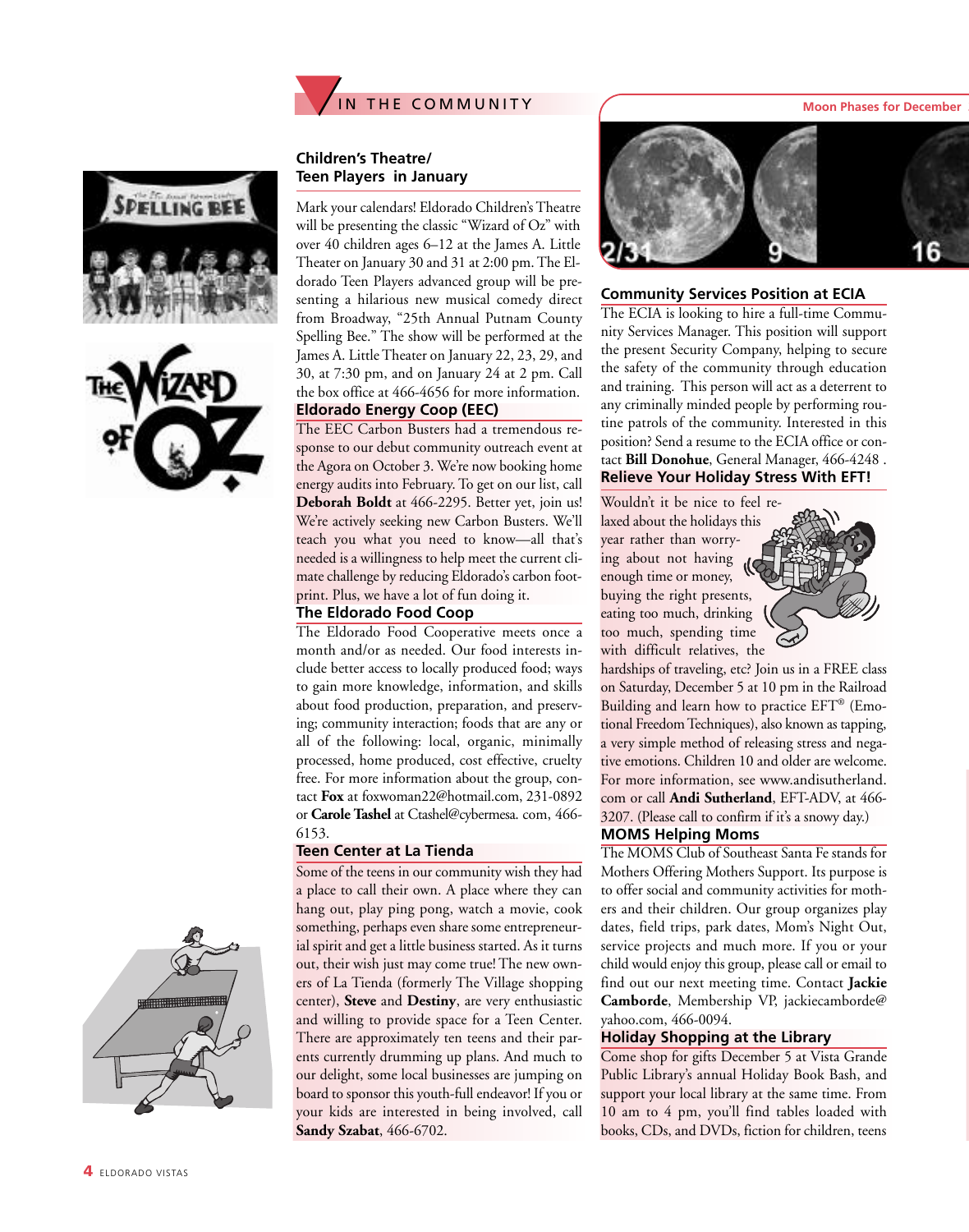

**SPELLING BEE** 



#### **Children's Theatre/ Teen Players in January**

Mark your calendars! Eldorado Children's Theatre will be presenting the classic "Wizard of Oz" with over 40 children ages 6–12 at the James A. Little Theater on January 30 and 31 at 2:00 pm. The Eldorado Teen Players advanced group will be presenting a hilarious new musical comedy direct from Broadway, "25th Annual Putnam County Spelling Bee." The show will be performed at the James A. Little Theater on January 22, 23, 29, and 30, at 7:30 pm, and on January 24 at 2 pm. Call the box office at 466-4656 for more information. **Eldorado Energy Coop (EEC)**

#### The EEC Carbon Busters had a tremendous response to our debut community outreach event at the Agora on October 3. We're now booking home energy audits into February. To get on our list, call **Deborah Boldt** at 466-2295. Better yet, join us! We're actively seeking new Carbon Busters. We'll teach you what you need to know—all that's needed is a willingness to help meet the current climate challenge by reducing Eldorado's carbon footprint. Plus, we have a lot of fun doing it.

#### **The Eldorado Food Coop**

The Eldorado Food Cooperative meets once a month and/or as needed. Our food interests include better access to locally produced food; ways to gain more knowledge, information, and skills about food production, preparation, and preserving; community interaction; foods that are any or all of the following: local, organic, minimally processed, home produced, cost effective, cruelty free. For more information about the group, contact **Fox** at foxwoman22@hotmail.com, 231-0892 or **Carole Tashel** at Ctashel@cybermesa. com, 466- 6153.

#### **Teen Center at La Tienda**

Some of the teens in our community wish they had a place to call their own. A place where they can hang out, play ping pong, watch a movie, cook something, perhaps even share some entrepreneurial spirit and get a little business started. As it turns out, their wish just may come true! The new owners of La Tienda (formerly The Village shopping center), **Steve** and **Destiny**, are very enthusiastic and willing to provide space for a Teen Center. There are approximately ten teens and their parents currently drumming up plans. And much to our delight, some local businesses are jumping on board to sponsor this youth-full endeavor! If you or your kids are interested in being involved, call **Sandy Szabat**, 466-6702.



#### **Community Services Position at ECIA**

The ECIA is looking to hire a full-time Community Services Manager. This position will support the present Security Company, helping to secure the safety of the community through education and training. This person will act as a deterrent to any criminally minded people by performing routine patrols of the community. Interested in this position? Send a resume to the ECIA office or contact **Bill Donohue**, General Manager, 466-4248 . **Relieve Your Holiday Stress With EFT!**

Wouldn't it be nice to feel relaxed about the holidays this year rather than worrying about not having enough time or money, buying the right presents, eating too much, drinking too much, spending time with difficult relatives, the



hardships of traveling, etc? Join us in a FREE class on Saturday, December 5 at 10 pm in the Railroad Building and learn how to practice EFT® (Emotional Freedom Techniques), also known as tapping, a very simple method of releasing stress and negative emotions. Children 10 and older are welcome. For more information, see www.andisutherland. com or call **Andi Sutherland**, EFT-ADV, at 466- 3207. (Please call to confirm if it's a snowy day.)

#### **MOMS Helping Moms**

The MOMS Club of Southeast Santa Fe stands for Mothers Offering Mothers Support. Its purpose is to offer social and community activities for mothers and their children. Our group organizes play dates, field trips, park dates, Mom's Night Out, service projects and much more. If you or your child would enjoy this group, please call or email to find out our next meeting time. Contact **Jackie Camborde**, Membership VP, jackiecamborde@ yahoo.com, 466-0094.

#### **Holiday Shopping at the Library**

Come shop for gifts December 5 at Vista Grande Public Library's annual Holiday Book Bash, and support your local library at the same time. From 10 am to 4 pm, you'll find tables loaded with books, CDs, and DVDs, fiction for children, teens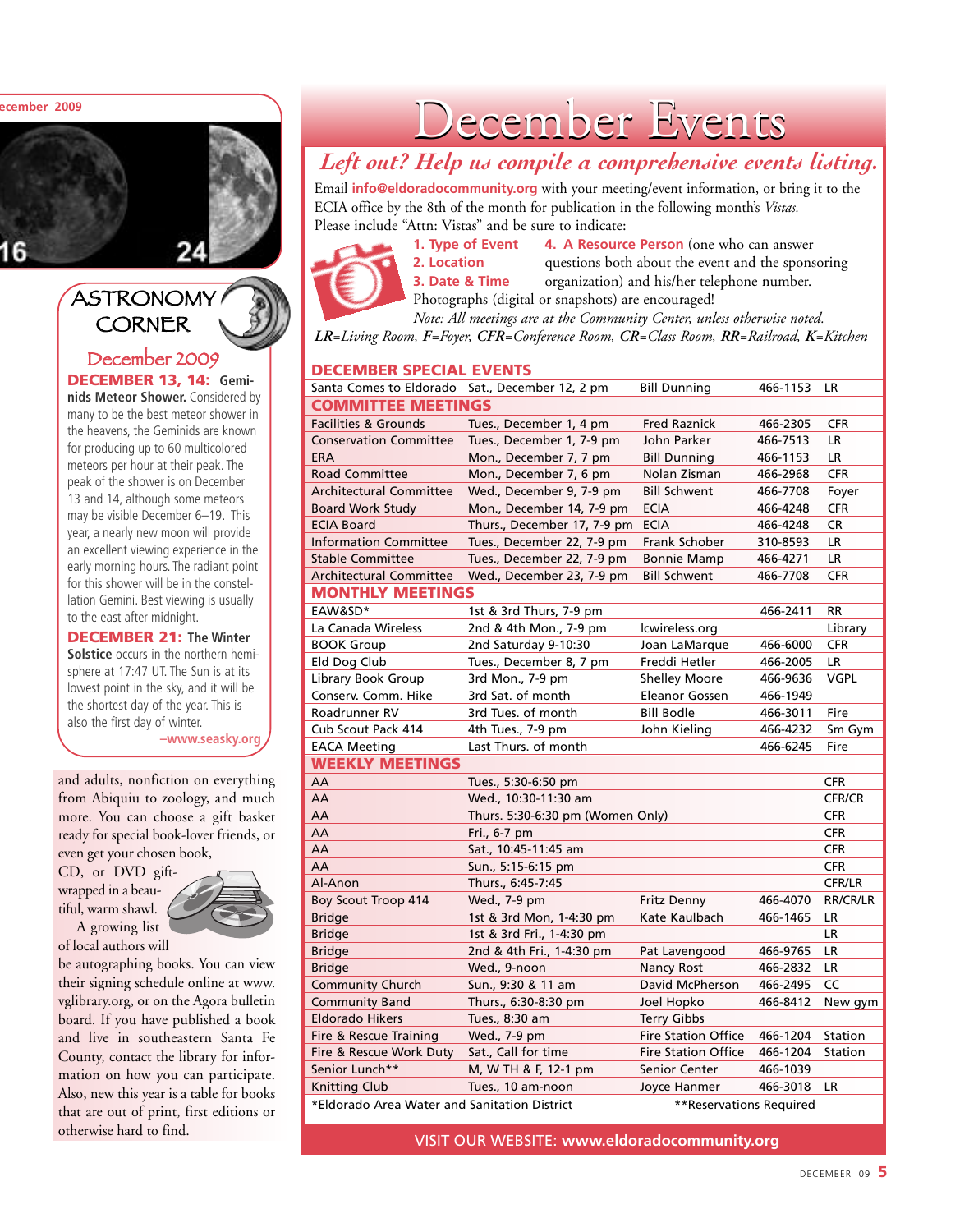**December 2009**

### ASTRONOMY **CORNER**

December 2009 **DECEMBER 13, 14: Gemi-**

**nids Meteor Shower.** Considered by many to be the best meteor shower in the heavens, the Geminids are known for producing up to 60 multicolored meteors per hour at their peak. The peak of the shower is on December 13 and 14, although some meteors may be visible December 6–19. This year, a nearly new moon will provide an excellent viewing experience in the early morning hours. The radiant point for this shower will be in the constellation Gemini. Best viewing is usually to the east after midnight.

**DECEMBER 21: The Winter Solstice** occurs in the northern hemisphere at 17:47 UT. The Sun is at its lowest point in the sky, and it will be the shortest day of the year. This is also the first day of winter.

**–www.seasky.org**

and adults, nonfiction on everything from Abiquiu to zoology, and much more. You can choose a gift basket ready for special book-lover friends, or even get your chosen book,

CD, or DVD giftwrapped in a beautiful, warm shawl.



A growing list of local authors will

be autographing books. You can view their signing schedule online at www. vglibrary.org, or on the Agora bulletin board. If you have published a book and live in southeastern Santa Fe County, contact the library for information on how you can participate. Also, new this year is a table for books that are out of print, first editions or otherwise hard to find.

# December Events

### *Left out? Help us compile a comprehensive events listing.*

Email **info@eldoradocommunity.org** with your meeting/event information, or bring it to the ECIA office by the 8th of the month for publication in the following month's *Vistas.* Please include "Attn: Vistas" and be sure to indicate:



**1. Type of Event 4. A Resource Person** (one who can answer **2. Location** questions both about the event and the sponsoring **3. Date & Time** organization) and his/her telephone number. Photographs (digital or snapshots) are encouraged!

*Note: All meetings are at the Community Center, unless otherwise noted. LR=Living Room, F=Foyer, CFR=Conference Room, CR=Class Room, RR=Railroad, K=Kitchen*

| <b>DECEMBER SPECIAL EVENTS</b>                  |                                  |                            |          |             |  |  |  |  |
|-------------------------------------------------|----------------------------------|----------------------------|----------|-------------|--|--|--|--|
| Santa Comes to Eldorado Sat., December 12, 2 pm |                                  | <b>Bill Dunning</b>        | 466-1153 | LR          |  |  |  |  |
| <b>COMMITTEE MEETINGS</b>                       |                                  |                            |          |             |  |  |  |  |
| <b>Facilities &amp; Grounds</b>                 | Tues., December 1, 4 pm          | <b>Fred Raznick</b>        | 466-2305 | <b>CFR</b>  |  |  |  |  |
| <b>Conservation Committee</b>                   | Tues., December 1, 7-9 pm        | John Parker                | 466-7513 | LR.         |  |  |  |  |
| <b>ERA</b>                                      | Mon., December 7, 7 pm           | <b>Bill Dunning</b>        | 466-1153 | <b>LR</b>   |  |  |  |  |
| <b>Road Committee</b>                           | Mon., December 7, 6 pm           | Nolan Zisman               | 466-2968 | <b>CFR</b>  |  |  |  |  |
| <b>Architectural Committee</b>                  | Wed., December 9, 7-9 pm         | <b>Bill Schwent</b>        | 466-7708 | Foyer       |  |  |  |  |
| <b>Board Work Study</b>                         | Mon., December 14, 7-9 pm        | <b>ECIA</b>                | 466-4248 | <b>CFR</b>  |  |  |  |  |
| <b>ECIA Board</b>                               | Thurs., December 17, 7-9 pm      | <b>ECIA</b>                | 466-4248 | CR          |  |  |  |  |
| <b>Information Committee</b>                    | Tues., December 22, 7-9 pm       | Frank Schober              | 310-8593 | <b>LR</b>   |  |  |  |  |
| <b>Stable Committee</b>                         | Tues., December 22, 7-9 pm       | <b>Bonnie Mamp</b>         | 466-4271 | LR          |  |  |  |  |
| <b>Architectural Committee</b>                  | Wed., December 23, 7-9 pm        | <b>Bill Schwent</b>        | 466-7708 | <b>CFR</b>  |  |  |  |  |
| <b>MONTHLY MEETINGS</b>                         |                                  |                            |          |             |  |  |  |  |
| EAW&SD*                                         | 1st & 3rd Thurs, 7-9 pm          |                            | 466-2411 | <b>RR</b>   |  |  |  |  |
| La Canada Wireless                              | 2nd & 4th Mon., 7-9 pm           | lcwireless.org             |          | Library     |  |  |  |  |
| <b>BOOK Group</b>                               | 2nd Saturday 9-10:30             | Joan LaMarque              | 466-6000 | <b>CFR</b>  |  |  |  |  |
| Eld Dog Club                                    | Tues., December 8, 7 pm          | Freddi Hetler              | 466-2005 | LR          |  |  |  |  |
| Library Book Group                              | 3rd Mon., 7-9 pm                 | <b>Shelley Moore</b>       | 466-9636 | <b>VGPL</b> |  |  |  |  |
| Conserv. Comm. Hike                             | 3rd Sat. of month                | Eleanor Gossen             | 466-1949 |             |  |  |  |  |
| Roadrunner RV                                   | 3rd Tues. of month               | <b>Bill Bodle</b>          | 466-3011 | Fire        |  |  |  |  |
| Cub Scout Pack 414                              | 4th Tues., 7-9 pm                | John Kieling               | 466-4232 | Sm Gym      |  |  |  |  |
| <b>EACA Meeting</b>                             | Last Thurs. of month             |                            | 466-6245 | Fire        |  |  |  |  |
| <b>WEEKLY MEETINGS</b>                          |                                  |                            |          |             |  |  |  |  |
| AA                                              | Tues., 5:30-6:50 pm              |                            |          | <b>CFR</b>  |  |  |  |  |
| AA                                              | Wed., 10:30-11:30 am             |                            |          | CFR/CR      |  |  |  |  |
| AA                                              | Thurs. 5:30-6:30 pm (Women Only) |                            |          | <b>CFR</b>  |  |  |  |  |
| AA                                              | Fri., 6-7 pm                     |                            |          | <b>CFR</b>  |  |  |  |  |
| AA                                              | Sat., 10:45-11:45 am             |                            |          | <b>CFR</b>  |  |  |  |  |
| AA                                              | Sun., 5:15-6:15 pm               |                            |          | <b>CFR</b>  |  |  |  |  |
| Al-Anon                                         | Thurs., 6:45-7:45                |                            |          | CFR/LR      |  |  |  |  |
| Boy Scout Troop 414                             | Wed., 7-9 pm                     | Fritz Denny                | 466-4070 | RR/CR/LR    |  |  |  |  |
| <b>Bridge</b>                                   | 1st & 3rd Mon, 1-4:30 pm         | Kate Kaulbach              | 466-1465 | <b>LR</b>   |  |  |  |  |
| <b>Bridge</b>                                   | 1st & 3rd Fri., 1-4:30 pm        |                            |          | LR          |  |  |  |  |
| <b>Bridge</b>                                   | 2nd & 4th Fri., 1-4:30 pm        | Pat Lavengood              | 466-9765 | LR          |  |  |  |  |
| <b>Bridge</b>                                   | Wed., 9-noon                     | <b>Nancy Rost</b>          | 466-2832 | LR.         |  |  |  |  |
| <b>Community Church</b>                         | Sun., 9:30 & 11 am               | David McPherson            | 466-2495 | CC          |  |  |  |  |
| <b>Community Band</b>                           | Thurs., 6:30-8:30 pm             | Joel Hopko                 | 466-8412 | New gym     |  |  |  |  |
| <b>Eldorado Hikers</b>                          | Tues., 8:30 am                   | <b>Terry Gibbs</b>         |          |             |  |  |  |  |
| Fire & Rescue Training                          | Wed., 7-9 pm                     | <b>Fire Station Office</b> | 466-1204 | Station     |  |  |  |  |
| Fire & Rescue Work Duty                         | Sat., Call for time              | <b>Fire Station Office</b> | 466-1204 | Station     |  |  |  |  |
| Senior Lunch**                                  | M, W TH & F, 12-1 pm             | Senior Center              | 466-1039 |             |  |  |  |  |
| Knitting Club                                   | Tues., 10 am-noon                | Joyce Hanmer               | 466-3018 | <b>LR</b>   |  |  |  |  |
| *Eldorado Area Water and Sanitation District    |                                  | **Reservations Required    |          |             |  |  |  |  |
|                                                 |                                  |                            |          |             |  |  |  |  |

VISIT OUR WEBSITE: **www.eldoradocommunity.org**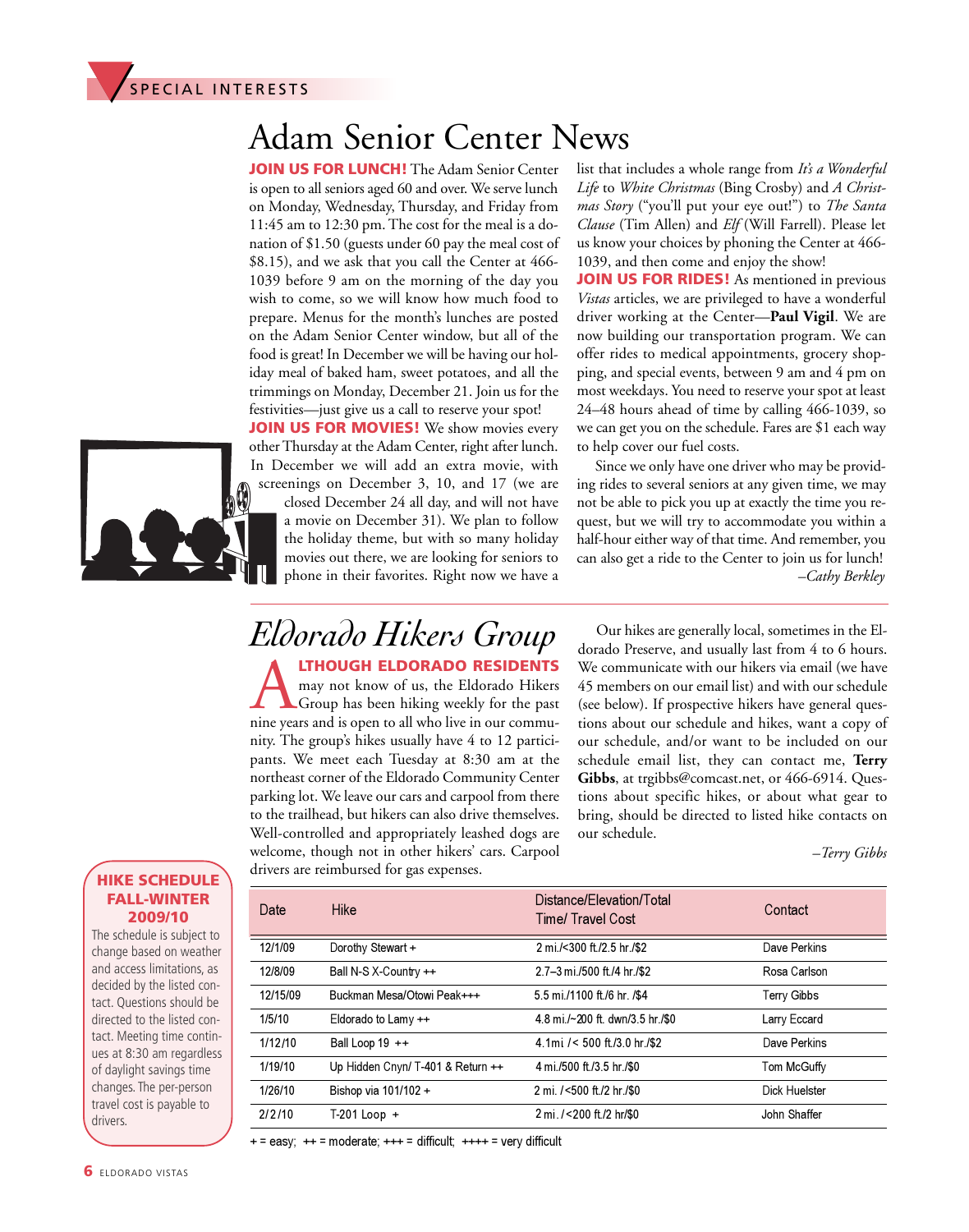

## Adam Senior Center News

**JOIN US FOR LUNCH!** The Adam Senior Center is open to all seniors aged 60 and over. We serve lunch on Monday, Wednesday, Thursday, and Friday from 11:45 am to 12:30 pm. The cost for the meal is a donation of \$1.50 (guests under 60 pay the meal cost of \$8.15), and we ask that you call the Center at 466- 1039 before 9 am on the morning of the day you wish to come, so we will know how much food to prepare. Menus for the month's lunches are posted on the Adam Senior Center window, but all of the food is great! In December we will be having our holiday meal of baked ham, sweet potatoes, and all the trimmings on Monday, December 21. Join us for the festivities—just give us a call to reserve your spot!

**JOIN US FOR MOVIES!** We show movies every other Thursday at the Adam Center, right after lunch. In December we will add an extra movie, with

screenings on December 3, 10, and 17 (we are closed December 24 all day, and will not have a movie on December 31). We plan to follow the holiday theme, but with so many holiday movies out there, we are looking for seniors to phone in their favorites. Right now we have a list that includes a whole range from *It's a Wonderful Life* to *White Christmas* (Bing Crosby) and *A Christmas Story* ("you'll put your eye out!") to *The Santa Clause* (Tim Allen) and *Elf* (Will Farrell). Please let us know your choices by phoning the Center at 466- 1039, and then come and enjoy the show!

**JOIN US FOR RIDES!** As mentioned in previous *Vistas* articles, we are privileged to have a wonderful driver working at the Center—**Paul Vigil**. We are now building our transportation program. We can offer rides to medical appointments, grocery shopping, and special events, between 9 am and 4 pm on most weekdays. You need to reserve your spot at least 24–48 hours ahead of time by calling 466-1039, so we can get you on the schedule. Fares are \$1 each way to help cover our fuel costs.

Since we only have one driver who may be providing rides to several seniors at any given time, we may not be able to pick you up at exactly the time you request, but we will try to accommodate you within a half-hour either way of that time. And remember, you can also get a ride to the Center to join us for lunch! *–Cathy Berkley*

# *Eldorado Hikers Group*

**ALTHOUGH ELDORADO RESIDENTS**<br>A may not know of us, the Eldorado Hikers<br>Group has been hiking weekly for the past<br>nine vears and is open to all who live in our commumay not know of us, the Eldorado Hikers Group has been hiking weekly for the past nine years and is open to all who live in our community. The group's hikes usually have 4 to 12 participants. We meet each Tuesday at 8:30 am at the northeast corner of the Eldorado Community Center parking lot. We leave our cars and carpool from there to the trailhead, but hikers can also drive themselves. Well-controlled and appropriately leashed dogs are welcome, though not in other hikers' cars. Carpool drivers are reimbursed for gas expenses.

Our hikes are generally local, sometimes in the Eldorado Preserve, and usually last from 4 to 6 hours. We communicate with our hikers via email (we have 45 members on our email list) and with our schedule (see below). If prospective hikers have general questions about our schedule and hikes, want a copy of our schedule, and/or want to be included on our schedule email list, they can contact me, **Terry Gibbs**, at trgibbs@comcast.net, or 466-6914. Questions about specific hikes, or about what gear to bring, should be directed to listed hike contacts on our schedule.

*–Terry Gibbs*

#### **HIKE SCHEDULE FALL-WINTER 2009/10**

The schedule is subject to change based on weather and access limitations, as decided by the listed contact. Questions should be directed to the listed contact. Meeting time continues at 8:30 am regardless of daylight savings time changes. The per-person travel cost is payable to drivers.

Date Hike Hike Distance/Elevation/Total Time/ Travel Cost Contact 12/1/09 Dorothy Stewart + 2 mi./<300 ft./2.5 hr./\$2 Dave Perkins 12/8/09 Ball N-S X-Country ++ 2.7–3 mi./500 ft./4 hr./\$2 Rosa Carlson 12/15/09 Buckman Mesa/Otowi Peak+++ 5.5 mi./1100 ft./6 hr. /\$4 Terry Gibbs 1/5/10 Eldorado to Lamy ++ 4.8 mi./~200 ft. dwn/3.5 hr./\$0 Larry Eccard 1/12/10 Ball Loop 19 ++ 4.1mi /< 500 ft./3.0 hr./\$2 Dave Perkins 1/19/10 Up Hidden Cnyn/ T-401 & Return ++ 4 mi./500 ft./3.5 hr./\$0 Tom McGuffy 1/26/10 Bishop via 101/102 + 2 mi. / <500 ft./2 hr./\$0 Dick Huelster 2/2/10 T-201 Loop + 2 mi./<200 ft./2 hr/\$0 John Shaffer Ball Loop  $19$  ++

 $+=$  easy;  $++$  = moderate;  $++$  = difficult;  $++$  = very difficult

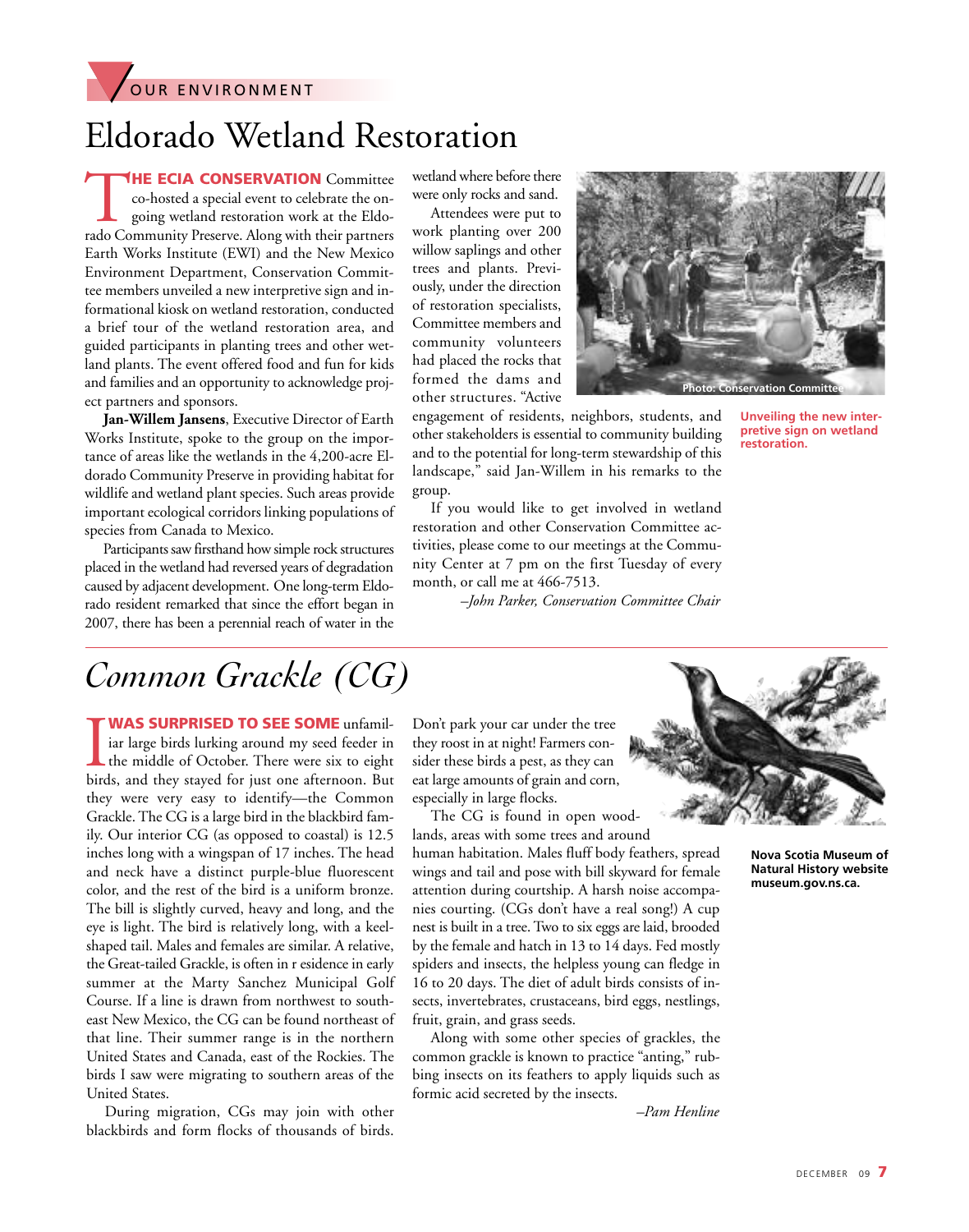

## Eldorado Wetland Restoration

**THE ECIA CONSERVATION** Committee co-hosted a special event to celebrate the on-<br>going wetland restoration work at the Eldo-<br>rado Community Preserve. Along with their partners co-hosted a special event to celebrate the ongoing wetland restoration work at the Eldo-Earth Works Institute (EWI) and the New Mexico Environment Department, Conservation Committee members unveiled a new interpretive sign and informational kiosk on wetland restoration, conducted a brief tour of the wetland restoration area, and guided participants in planting trees and other wetland plants. The event offered food and fun for kids and families and an opportunity to acknowledge project partners and sponsors.

**Jan-Willem Jansens**, Executive Director of Earth Works Institute, spoke to the group on the importance of areas like the wetlands in the 4,200-acre Eldorado Community Preserve in providing habitat for wildlife and wetland plant species. Such areas provide important ecological corridors linking populations of species from Canada to Mexico.

Participants saw firsthand how simple rock structures placed in the wetland had reversed years of degradation caused by adjacent development. One long-term Eldorado resident remarked that since the effort began in 2007, there has been a perennial reach of water in the

wetland where before there were only rocks and sand.

Attendees were put to work planting over 200 willow saplings and other trees and plants. Previously, under the direction of restoration specialists, Committee members and community volunteers had placed the rocks that formed the dams and other structures. "Active

engagement of residents, neighbors, students, and other stakeholders is essential to community building and to the potential for long-term stewardship of this landscape," said Jan-Willem in his remarks to the group.

If you would like to get involved in wetland restoration and other Conservation Committee activities, please come to our meetings at the Community Center at 7 pm on the first Tuesday of every month, or call me at 466-7513.

*–John Parker, Conservation Committee Chair*

**Photo: Conservation Committee**

**Unveiling the new interpretive sign on wetland restoration.**

## *Common Grackle (CG)*

**I WAS SURPRISED TO SEE SOME** unfamiliar large birds lurking around my seed feeder in the middle of October. There were six to eight birds, and they stayed for just one afternoon. But **WAS SURPRISED TO SEE SOME** unfamiliar large birds lurking around my seed feeder in the middle of October. There were six to eight they were very easy to identify—the Common Grackle. The CG is a large bird in the blackbird family. Our interior CG (as opposed to coastal) is 12.5 inches long with a wingspan of 17 inches. The head and neck have a distinct purple-blue fluorescent color, and the rest of the bird is a uniform bronze. The bill is slightly curved, heavy and long, and the eye is light. The bird is relatively long, with a keelshaped tail. Males and females are similar. A relative, the Great-tailed Grackle, is often in r esidence in early summer at the Marty Sanchez Municipal Golf Course. If a line is drawn from northwest to southeast New Mexico, the CG can be found northeast of that line. Their summer range is in the northern United States and Canada, east of the Rockies. The birds I saw were migrating to southern areas of the United States.

During migration, CGs may join with other blackbirds and form flocks of thousands of birds.

Don't park your car under the tree they roost in at night! Farmers consider these birds a pest, as they can eat large amounts of grain and corn, especially in large flocks.

The CG is found in open woodlands, areas with some trees and around

human habitation. Males fluff body feathers, spread wings and tail and pose with bill skyward for female attention during courtship. A harsh noise accompanies courting. (CGs don't have a real song!) A cup nest is built in a tree. Two to six eggs are laid, brooded by the female and hatch in 13 to 14 days. Fed mostly spiders and insects, the helpless young can fledge in 16 to 20 days. The diet of adult birds consists of insects, invertebrates, crustaceans, bird eggs, nestlings, fruit, grain, and grass seeds.

Along with some other species of grackles, the common grackle is known to practice "anting," rubbing insects on its feathers to apply liquids such as formic acid secreted by the insects.

*–Pam Henline*



**Nova Scotia Museum of Natural History website museum.gov.ns.ca.**